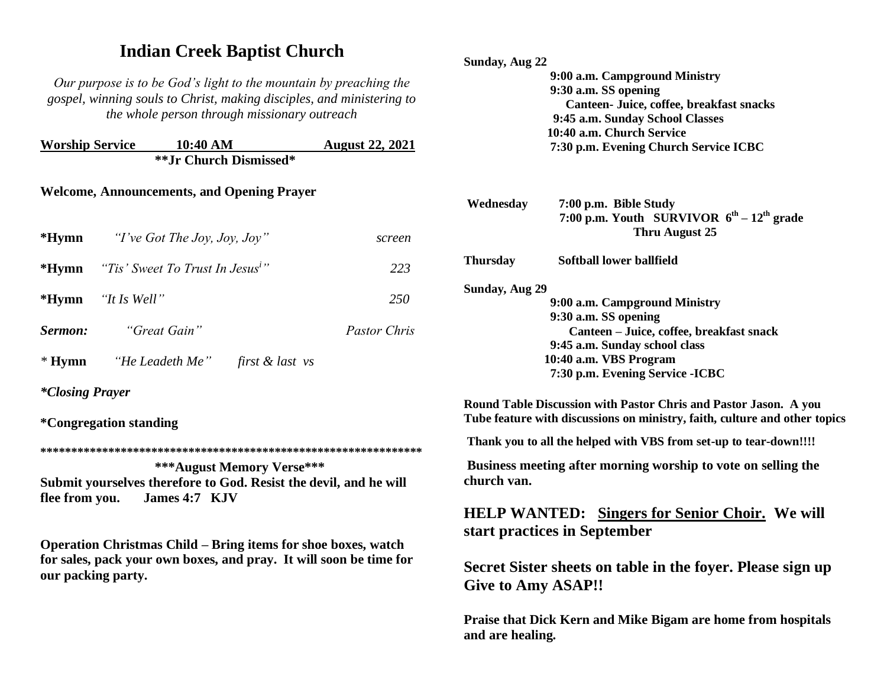## **Indian Creek Baptist Church**

*Our purpose is to be God's light to the mountain by preaching the gospel, winning souls to Christ, making disciples, and ministering to the whole person through missionary outreach*

| <b>Worship Service</b> | 10:40 AM | <b>August 22, 2021</b> |
|------------------------|----------|------------------------|
| **Jr Church Dismissed* |          |                        |

## **Welcome, Announcements, and Opening Prayer**

| <b>*Hymn</b> $T've Got The Joy, Joy, Joy''$                | screen              |
|------------------------------------------------------------|---------------------|
| * <b>Hymn</b> "Tis' Sweet To Trust In Jesus <sup>i</sup> " | 223                 |
| *Hymn "It Is Well"                                         | 250                 |
| <b>Sermon:</b> "Great Gain"                                | <i>Pastor Chris</i> |
| * Hymn "He Leadeth Me" first & last vs                     |                     |

*\*Closing Prayer* 

**\*Congregation standing**

**\*\*\*\*\*\*\*\*\*\*\*\*\*\*\*\*\*\*\*\*\*\*\*\*\*\*\*\*\*\*\*\*\*\*\*\*\*\*\*\*\*\*\*\*\*\*\*\*\*\*\*\*\*\*\*\*\*\*\*\*\*\***

 **\*\*\*August Memory Verse\*\*\* Submit yourselves therefore to God. Resist the devil, and he will flee from you. James 4:7 KJV** 

**Operation Christmas Child – Bring items for shoe boxes, watch for sales, pack your own boxes, and pray. It will soon be time for our packing party.**

| Sunday, Aug 22  |                                                   |
|-----------------|---------------------------------------------------|
|                 | 9:00 a.m. Campground Ministry                     |
|                 | 9:30 a.m. SS opening                              |
|                 | Canteen- Juice, coffee, breakfast snacks          |
|                 | 9:45 a.m. Sunday School Classes                   |
|                 | 10:40 a.m. Church Service                         |
|                 | 7:30 p.m. Evening Church Service ICBC             |
|                 |                                                   |
| Wednesday       | 7:00 p.m. Bible Study                             |
|                 | 7:00 p.m. Youth SURVIVOR $6^{th} - 12^{th}$ grade |
|                 | Thru August 25                                    |
| <b>Thursday</b> | Softball lower ballfield                          |
| Sunday, Aug 29  |                                                   |
|                 | 9:00 a.m. Campground Ministry                     |
|                 | 9:30 a.m. SS opening                              |
|                 | Canteen – Juice, coffee, breakfast snack          |
|                 | 9:45 a.m. Sunday school class                     |
|                 | 10:40 a.m. VBS Program                            |
|                 | 7:30 p.m. Evening Service - ICBC                  |

**Round Table Discussion with Pastor Chris and Pastor Jason. A you Tube feature with discussions on ministry, faith, culture and other topics**

**Thank you to all the helped with VBS from set-up to tear-down!!!!**

**Business meeting after morning worship to vote on selling the church van.**

**HELP WANTED: Singers for Senior Choir. We will start practices in September**

**Secret Sister sheets on table in the foyer. Please sign up Give to Amy ASAP!!**

**Praise that Dick Kern and Mike Bigam are home from hospitals and are healing.**